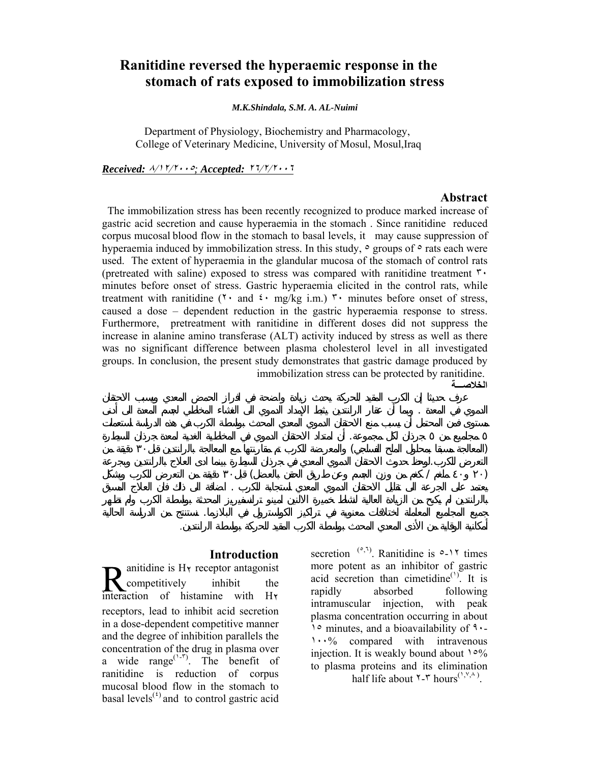## **Ranitidine reversed the hyperaemic response in the stomach of rats exposed to immobilization stress**

*M.K.Shindala, S.M. A. AL-Nuimi*

Department of Physiology, Biochemistry and Pharmacology, College of Veterinary Medicine, University of Mosul, Mosul,Iraq

*Received:* <sup>٨</sup>/١٢/<sup>٢٠٠٥</sup>*; Accepted:* <sup>٢٦</sup>/٢/<sup>٢٠٠٦</sup>

#### **Abstract**

 The immobilization stress has been recently recognized to produce marked increase of gastric acid secretion and cause hyperaemia in the stomach . Since ranitidine reduced corpus mucosal blood flow in the stomach to basal levels, it may cause suppression of hyperaemia induced by immobilization stress. In this study,  $\circ$  groups of  $\circ$  rats each were used. The extent of hyperaemia in the glandular mucosa of the stomach of control rats (pretreated with saline) exposed to stress was compared with ranitidine treatment  $\mathbf{r}$ . minutes before onset of stress. Gastric hyperaemia elicited in the control rats, while treatment with ranitidine ( $\mathbf{v} \cdot$  and  $\mathbf{v} \cdot$  mg/kg i.m.)  $\mathbf{v} \cdot$  minutes before onset of stress, caused a dose – dependent reduction in the gastric hyperaemia response to stress. Furthermore, pretreatment with ranitidine in different doses did not suppress the increase in alanine amino transferase (ALT) activity induced by stress as well as there was no significant difference between plasma cholesterol level in all investigated groups. In conclusion, the present study demonstrates that gastric damage produced by immobilization stress can be protected by ranitidine.

الدموي في المعدة . وبما أن عقار الرانتدين يثبط الإمداد الدموي الى الغشاء المخاطي لجسم المعد الى أدنى مستوى من المحتمل أن يسبب منع لاحتقان الدموي المعدي المحدث بواسطة الكرب.في هذه الدراسة استعملت مجاميع من جرذان لكل مجموعة. أن امتداد الاحتقان الدموي في المخاطية الغدية لمعدة جرذان السيطرة (المعالجة مسبقا بمحلول الملح الفسلجي) والمعرضة للكرب تم مقارنتها مع المعالجة بالرانتدين قبل٣۰ دقيقة من التعرض للكرب.لوحظ حدوث الاحتقان الدموي المعدي في جرذان السيطرة بينما ادى العلاج بالرانتدين وبجرعة (۲٠ ٤٠ ملغم / كغم من وزن الجسم وعن طريق الحقن بالعضل) قبل٣۰ دقيقة من التعرض للكرب وبشكل يعتمد على الجرعة لى تقليل الاحتقان الدموي المعدي استجابة للكرب . اضافة الى ذلك فان العلاج المسبق

جميع المجاميع المعاملة اختلافات معنوية في تراكيز الكولسترول في البلازما. نستنتج من الدراسة الحالية

أمكانية الوقاية من الأذى المعدي المحدث بواسطة الكرب المقيد للحركة بواسطة الرانتدين.

ا**لخلاص**ــ

#### **Introduction**

anitidine is  $H\gamma$  receptor antagonist competitively inhibit the interaction of histamine with H٢ receptors, lead to inhibit acid secretion in a dose-dependent competitive manner and the degree of inhibition parallels the concentration of the drug in plasma over a wide range<sup> $(1-r)$ </sup>. The benefit of ranitidine is reduction of corpus mucosal blood flow in the stomach to basal levels<sup> $<sup>(t)</sup>$  and to control gastric acid</sup></sup>

secretion  $(0, 1)$ . Ranitidine is  $0 - 17$  times more potent as an inhibitor of gastric acid secretion than cimetidine<sup> $(1)$ </sup>. It is rapidly absorbed following intramuscular injection, with peak plasma concentration occurring in about ١٥ minutes, and a bioavailability of ٩٠- ١٠٠% compared with intravenous injection. It is weakly bound about ١٥% to plasma proteins and its elimination half life about  $\zeta$ - $\eta$  hours<sup>(', $\zeta$ , $\zeta$ ).</sup>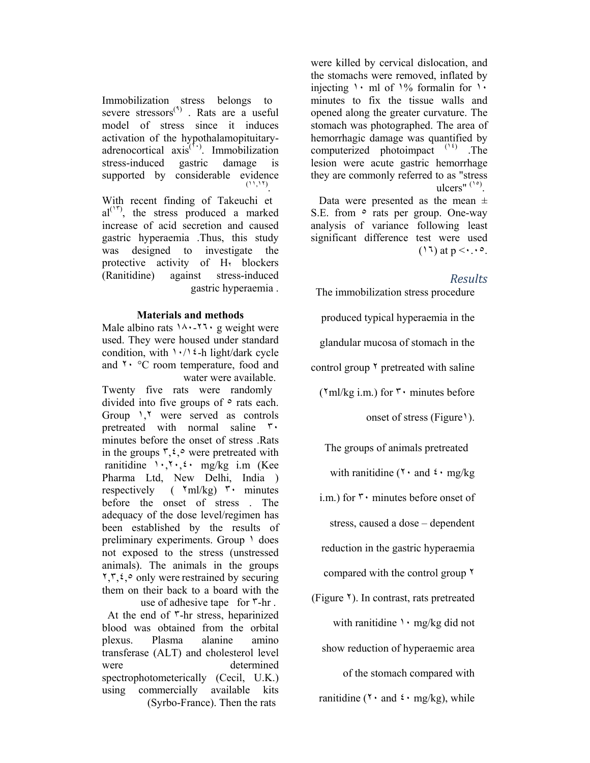were killed by cervical dislocation, and the stomachs were removed, inflated by injecting  $\cdot$  ml of  $\frac{1}{6}$  formalin for  $\cdot$ minutes to fix the tissue walls and opened along the greater curvature. The stomach was photographed. The area of hemorrhagic damage was quantified by computerized photoimpact (١٤) .The lesion were acute gastric hemorrhage they are commonly referred to as "stress ulcers"  $(1°)$ .

Data were presented as the mean  $\pm$ S.E. from  $\circ$  rats per group. One-way analysis of variance following least significant difference test were used  $(17)$  at  $p \leq r \cdot 10$ .

## *Results*

The immobilization stress procedure

produced typical hyperaemia in the

glandular mucosa of stomach in the

control group ٢ pretreated with saline

 $(\text{Yml/kg i.m.})$  for  $\mathbf{r} \cdot \text{minutes before}$ 

onset of stress (Figure 1).

The groups of animals pretreated

with ranitidine ( $\mathbf{r} \cdot \mathbf{r}$  and  $\mathbf{\hat{z}} \cdot \mathbf{m}$  g/kg

i.m.) for ٣٠ minutes before onset of

stress, caused a dose – dependent

reduction in the gastric hyperaemia

compared with the control group ٢

(Figure ٢). In contrast, rats pretreated with ranitidine  $\cdot \cdot$  mg/kg did not

show reduction of hyperaemic area

of the stomach compared with

ranitidine ( $\mathbf{r} \cdot$  and  $\mathbf{\hat{z}} \cdot$  mg/kg), while

Immobilization stress belongs to severe stressors<sup>(4)</sup>. Rats are a useful model of stress since it induces activation of the hypothalamopituitaryadrenocortical axis<sup>(1,1</sup>). Immobilization stress-induced gastric damage is supported by considerable evidence (١١,١٢) .

With recent finding of Takeuchi et  $al^{(\dagger)}$ , the stress produced a marked increase of acid secretion and caused gastric hyperaemia .Thus, this study was designed to investigate the protective activity of  $H_1$  blockers<br>(Ranitidine) against stress-induced (Ranitidine) against stress-induced gastric hyperaemia .

## **Materials and methods**

Male albino rats  $14.171$  g weight were used. They were housed under standard condition, with  $\cdot$  / $\cdot$  / $\cdot$  = h light/dark cycle and ٢٠ °C room temperature, food and water were available.

Twenty five rats were randomly divided into five groups of  $\circ$  rats each. Group ١,٢ were served as controls pretreated with normal saline ٣٠ minutes before the onset of stress .Rats in the groups  $\mathbf{r}, \mathbf{\varepsilon}, \circ$  were pretreated with ranitidine  $1 \cdot 7 \cdot 5 \cdot$  mg/kg i.m (Kee Pharma Ltd, New Delhi, India ) respectively ( $\gamma$ ml/kg)  $\gamma$  minutes before the onset of stress . The adequacy of the dose level/regimen has been established by the results of preliminary experiments. Group  $\lambda$  does not exposed to the stress (unstressed animals). The animals in the groups ٢,٣,٤,٥ only were restrained by securing them on their back to a board with the

 use of adhesive tape for ٣-hr . At the end of ٣-hr stress, heparinized blood was obtained from the orbital plexus. Plasma alanine amino transferase (ALT) and cholesterol level were determined spectrophotometerically (Cecil, U.K.) using commercially available kits (Syrbo-France). Then the rats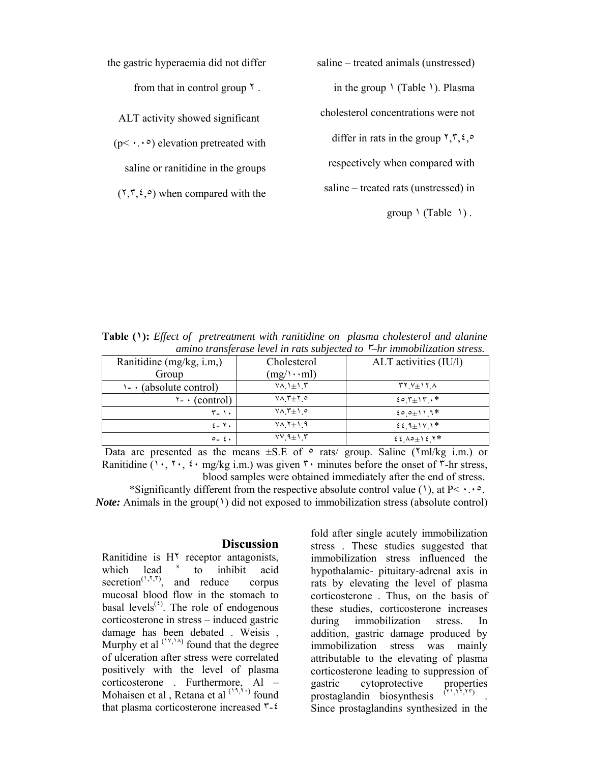the gastric hyperaemia did not differ

from that in control group ٢ .

ALT activity showed significant

 $(p< \cdot \cdot \cdot)$  elevation pretreated with

saline or ranitidine in the groups

 $(1, 1, 2)$  when compared with the

saline – treated animals (unstressed) in the group  $\setminus$  (Table  $\setminus$ ). Plasma cholesterol concentrations were not differ in rats in the group  $\Upsilon, \Upsilon, \varepsilon$ . respectively when compared with saline – treated rats (unstressed) in

 $group \ (Table \ 1).$ 

**Table (١):** *Effect of pretreatment with ranitidine on plasma cholesterol and alanine amino transferase level in rats subjected to* ٣*–hr immobilization stress.* 

| Ranitidine (mg/kg, i.m.)         | Cholesterol          | ALT activities (IU/l)                           |
|----------------------------------|----------------------|-------------------------------------------------|
| Group                            | $(mg/\cdots ml)$     |                                                 |
| $\cdot \cdot$ (absolute control) | $YA_1 \pm 1.5$       | $\mathbf{Y} \mathbf{Y} + \mathbf{Y} \mathbf{X}$ |
| $\mathbf{v}$ - (control)         | $Y \wedge T \pm Y$ o | $20.7 + 17.$                                    |
| $\mathbf{r}$ $\cdot$             | $V \wedge T \pm 1$ o | ${200 + 117*}$                                  |
| $2 - Y$                          | $Y \wedge Y \pm 1.9$ | $22.9 \pm 11.1*$                                |
| $0 - 2$                          | $VV A \pm V T$       | $22 \times 10 + 12$                             |

Data are presented as the means  $\pm$ S.E of  $\circ$  rats/ group. Saline ( $\text{Yml/kg i.m.}$ ) or Ranitidine ( $\cdot$ ,  $\cdot$ ,  $\cdot$ ,  $\cdot$  mg/kg i.m.) was given  $\cdot$  minutes before the onset of  $\cdot$ -hr stress, blood samples were obtained immediately after the end of stress.

\*Significantly different from the respective absolute control value (1), at  $P \leq \cdot \cdot \cdot$ . *Note:* Animals in the group(1) did not exposed to immobilization stress (absolute control)

#### **Discussion**

Ranitidine is H<sup> $\tau$ </sup> receptor antagonists, which lead <sup>s</sup> to inhibit acid secretion<sup> $(1,1,1)$ </sup>, and reduce corpus mucosal blood flow in the stomach to basal levels<sup> $<sup>(t)</sup>$ . The role of endogenous</sup></sup> corticosterone in stress – induced gastric damage has been debated . Weisis , Murphy et al  $(1, 1)$  found that the degree of ulceration after stress were correlated positively with the level of plasma corticosterone . Furthermore, Al – Mohaisen et al, Retana et al  $(1, 1)$  found that plasma corticosterone increased ٣-٤

fold after single acutely immobilization stress . These studies suggested that immobilization stress influenced the hypothalamic- pituitary-adrenal axis in rats by elevating the level of plasma corticosterone . Thus, on the basis of these studies, corticosterone increases during immobilization stress. In addition, gastric damage produced by immobilization stress was mainly attributable to the elevating of plasma corticosterone leading to suppression of gastric cytoprotective properties<br>prostaglandin biosynthesis  $(1,1,1,1,1)$ prostaglandin biosynthesis . Since prostaglandins synthesized in the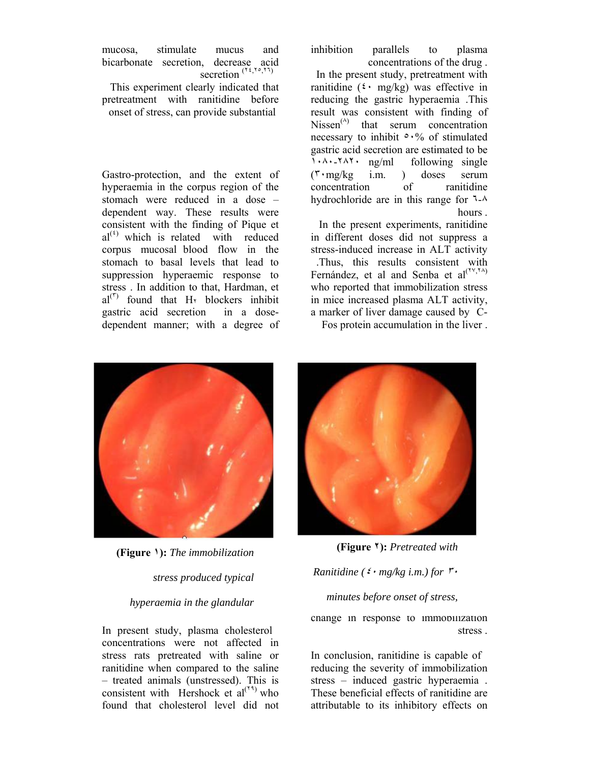mucosa, stimulate mucus and bicarbonate secretion, decrease acid secretion  $(1, 1, 1, 1)$ 

 This experiment clearly indicated that pretreatment with ranitidine before onset of stress, can provide substantial

Gastro-protection, and the extent of hyperaemia in the corpus region of the stomach were reduced in a dose – dependent way. These results were consistent with the finding of Pique et  $al^{(t)}$  which is related with reduced corpus mucosal blood flow in the stomach to basal levels that lead to suppression hyperaemic response to stress . In addition to that, Hardman, et  $al^{(r)}$  found that H<sub>Y</sub> blockers inhibit gastric acid secretion in a dosedependent manner; with a degree of

inhibition parallels to plasma

concentrations of the drug . In the present study, pretreatment with ranitidine  $({}^{\xi}$  · mg/kg) was effective in reducing the gastric hyperaemia .This result was consistent with finding of  $Nissen<sup>(A)</sup>$  that serum concentration necessary to inhibit ٥٠% of stimulated gastric acid secretion are estimated to be ١٠٨٠-٢٨٢٠ ng/ml following single (٣٠mg/kg i.m. ) doses serum concentration of ranitidine hydrochloride are in this range for ٦-٨ hours .

 In the present experiments, ranitidine in different doses did not suppress a stress-induced increase in ALT activity .Thus, this results consistent with Fernández, et al and Senba et  $al^{(\Upsilon \vee, \Upsilon \wedge \Upsilon)}$ who reported that immobilization stress in mice increased plasma ALT activity, a marker of liver damage caused by C-

Fos protein accumulation in the liver .



**(Figure ١):** *The immobilization* 

*stress produced typical* 

## *hyperaemia in the glandular*

In present study, plasma cholesterol concentrations were not affected in stress rats pretreated with saline or ranitidine when compared to the saline – treated animals (unstressed). This is consistent with Hershock et  $al^{(\tau)}$  who found that cholesterol level did not



**(Figure ٢):** *Pretreated with* 

# *Ranitidine (*٤٠ *mg/kg i.m.) for* <sup>٣٠</sup> *minutes before onset of stress,*

change in response to immobilization stress .

In conclusion, ranitidine is capable of reducing the severity of immobilization stress – induced gastric hyperaemia . These beneficial effects of ranitidine are attributable to its inhibitory effects on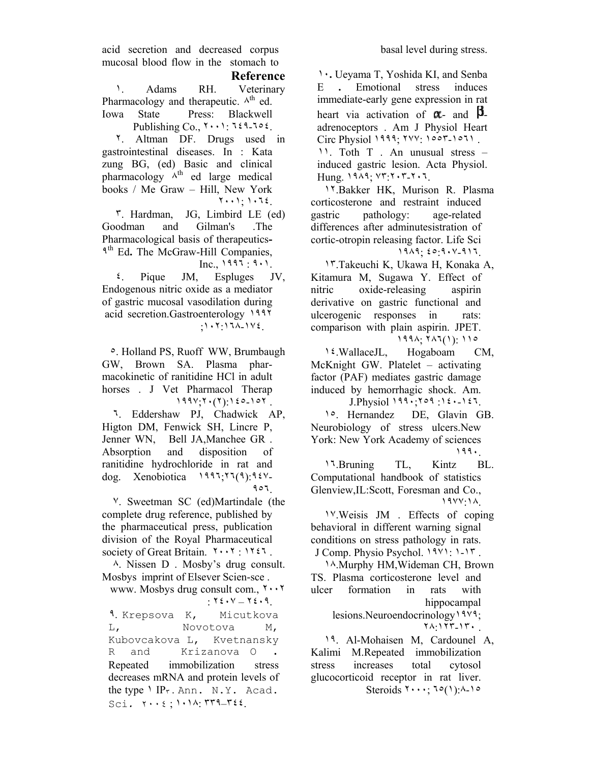acid secretion and decreased corpus mucosal blood flow in the stomach to

 **Reference**

 ١. Adams RH. Veterinary Pharmacology and therapeutic.  $\wedge^{th}$  ed. Iowa State Press: Blackwell Publishing Co., ٢٠٠١: ٦٤٩-٦٥٤.

 ٢. Altman DF. Drugs used in gastrointestinal diseases. In : Kata zung BG, (ed) Basic and clinical pharmacology  $A^{th}$  ed large medical books / Me Graw – Hill, New York ٢٠٠١; ١٠٦٤.

 ٣. Hardman, JG, Limbird LE (ed) Goodman and Gilman's .The Pharmacological basis of therapeutics**-**٩th Ed**.** The McGraw-Hill Companies, Inc., ١٩٩٦ : ٩٠١.

 ٤. Pique JM, Espluges JV, Endogenous nitric oxide as a mediator of gastric mucosal vasodilation during acid secretion.Gastroenterology ١٩٩٢ ;١٠٢:١٦٨-١٧٤.

 ٥. Holland PS, Ruoff WW, Brumbaugh GW, Brown SA. Plasma pharmacokinetic of ranitidine HCl in adult horses . J Vet Pharmacol Therap  $199Y; Y(1)$ :  $120-10Y$ .

 ٦. Eddershaw PJ, Chadwick AP, Higton DM, Fenwick SH, Lincre P, Jenner WN, Bell JA,Manchee GR . Absorption and disposition of ranitidine hydrochloride in rat and dog. Xenobiotica ١٩٩٦;٢٦(٩):٩٤٧- ٩٥٦.

 ٧. Sweetman SC (ed)Martindale (the complete drug reference, published by the pharmaceutical press, publication division of the Royal Pharmaceutical society of Great Britain. ٢٠٠٢ : ١٢٤٦ .

 ٨. Nissen D . Mosby's drug consult. Mosbys imprint of Elsever Scien-sce .

 www. Mosbys drug consult com., ٢٠٠٢ : ٢٤٠٧ – ٢٤٠٩.

 ٩. Krepsova K, Micutkova L, Novotova M, Kubovcakova L, Kvetnansky R and Krizanova O **.**  Repeated immobilization stress decreases mRNA and protein levels of the type  $\iota$  IP<sub>r</sub>. Ann. N.Y. Acad. Sci*.* ٢٠٠٤ ; ١٠١٨: ٣٣٩–٣٤٤.

 ١٠**.** Ueyama T, Yoshida KI, and Senba E **.** Emotional stress induces immediate-early gene expression in rat heart via activation of  $\alpha$ - and  $\beta$ adrenoceptors . Am J Physiol Heart Circ Physiol ١٩٩٩; ٢٧٧: ١٥٥٣-١٥٦١ . ١١. Toth T . An unusual stress – induced gastric lesion. Acta Physiol. Hung. ١٩٨٩; ٧٣:٢٠٣-٢٠٦.

 ١٢.Bakker HK, Murison R. Plasma corticosterone and restraint induced gastric pathology: age-related differences after adminutesistration of cortic-otropin releasing factor. Life Sci ١٩٨٩; ٤٥:٩٠٧-٩١٦.

 ١٣.Takeuchi K, Ukawa H, Konaka A, Kitamura M, Sugawa Y. Effect of nitric oxide-releasing aspirin derivative on gastric functional and ulcerogenic responses in rats: comparison with plain aspirin. JPET. ١٩٩٨; ٢٨٦(١): ١١٥

 ١٤.WallaceJL, Hogaboam CM, McKnight GW. Platelet – activating factor (PAF) mediates gastric damage induced by hemorrhagic shock. Am. J.Physiol ١٩٩٠;٢٥٩ :١٤٠-١٤٦.

 ١٥. Hernandez DE, Glavin GB. Neurobiology of stress ulcers.New York: New York Academy of sciences ١٩٩٠.

 ١٦.Bruning TL, Kintz BL. Computational handbook of statistics Glenview,IL:Scott, Foresman and Co., ١٩٧٧:١٨.

 ١٧.Weisis JM . Effects of coping behavioral in different warning signal conditions on stress pathology in rats. J Comp. Physio Psychol. ١٩٧١: ١-١٣ .

 ١٨.Murphy HM,Wideman CH, Brown TS. Plasma corticosterone level and ulcer formation in rats with hippocampal

lesions.Neuroendocrinology ١٩٧٩; ٢٨:١٢٣-١٣٠ .

 ١٩. Al-Mohaisen M, Cardounel A, Kalimi M.Repeated immobilization stress increases total cytosol glucocorticoid receptor in rat liver. Steroids  $\{1, 1, 2, \ldots, 1, 0\}$